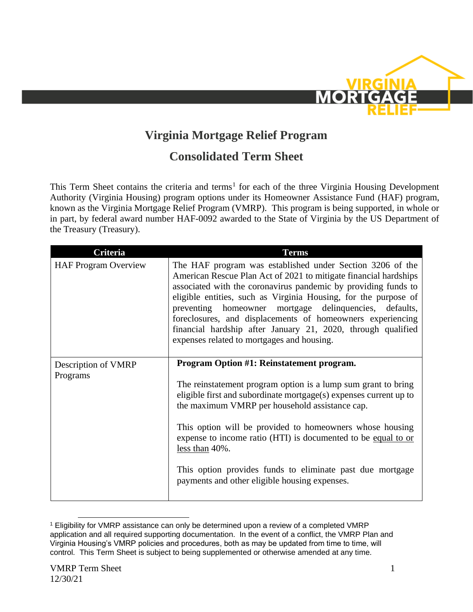

## **Virginia Mortgage Relief Program**

## **Consolidated Term Sheet**

This Term Sheet contains the criteria and terms<sup>1</sup> for each of the three Virginia Housing Development Authority (Virginia Housing) program options under its Homeowner Assistance Fund (HAF) program, known as the Virginia Mortgage Relief Program (VMRP). This program is being supported, in whole or in part, by federal award number HAF-0092 awarded to the State of Virginia by the US Department of the Treasury (Treasury).

| Criteria                    | <b>Terms</b>                                                                                                                                                                                                                                                                                                                                                                                                                                                                                             |
|-----------------------------|----------------------------------------------------------------------------------------------------------------------------------------------------------------------------------------------------------------------------------------------------------------------------------------------------------------------------------------------------------------------------------------------------------------------------------------------------------------------------------------------------------|
| <b>HAF Program Overview</b> | The HAF program was established under Section 3206 of the<br>American Rescue Plan Act of 2021 to mitigate financial hardships<br>associated with the coronavirus pandemic by providing funds to<br>eligible entities, such as Virginia Housing, for the purpose of<br>preventing homeowner mortgage delinquencies, defaults,<br>foreclosures, and displacements of homeowners experiencing<br>financial hardship after January 21, 2020, through qualified<br>expenses related to mortgages and housing. |
| Description of VMRP         | Program Option #1: Reinstatement program.                                                                                                                                                                                                                                                                                                                                                                                                                                                                |
| Programs                    | The reinstatement program option is a lump sum grant to bring                                                                                                                                                                                                                                                                                                                                                                                                                                            |
|                             | eligible first and subordinate mortgage(s) expenses current up to<br>the maximum VMRP per household assistance cap.                                                                                                                                                                                                                                                                                                                                                                                      |
|                             | This option will be provided to homeowners whose housing<br>expense to income ratio (HTI) is documented to be equal to or<br>less than 40%.                                                                                                                                                                                                                                                                                                                                                              |
|                             | This option provides funds to eliminate past due mortgage<br>payments and other eligible housing expenses.                                                                                                                                                                                                                                                                                                                                                                                               |

<sup>1</sup> Eligibility for VMRP assistance can only be determined upon a review of a completed VMRP application and all required supporting documentation. In the event of a conflict, the VMRP Plan and Virginia Housing's VMRP policies and procedures, both as may be updated from time to time, will control. This Term Sheet is subject to being supplemented or otherwise amended at any time.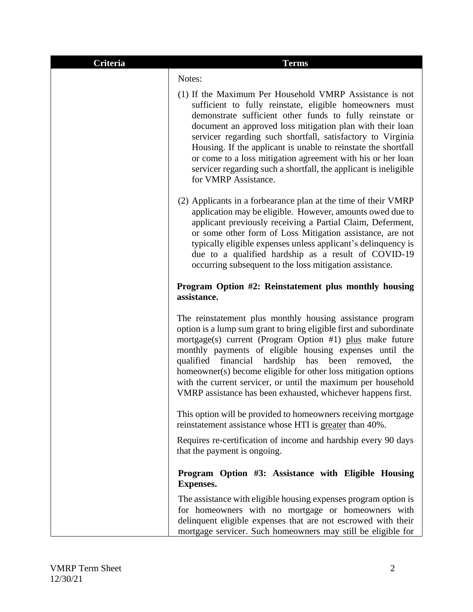| Criteria | <b>Terms</b>                                                                                                                                                                                                                                                                                                                                                                                                                                                                                                                            |
|----------|-----------------------------------------------------------------------------------------------------------------------------------------------------------------------------------------------------------------------------------------------------------------------------------------------------------------------------------------------------------------------------------------------------------------------------------------------------------------------------------------------------------------------------------------|
|          | Notes:                                                                                                                                                                                                                                                                                                                                                                                                                                                                                                                                  |
|          | (1) If the Maximum Per Household VMRP Assistance is not<br>sufficient to fully reinstate, eligible homeowners must<br>demonstrate sufficient other funds to fully reinstate or<br>document an approved loss mitigation plan with their loan<br>servicer regarding such shortfall, satisfactory to Virginia<br>Housing. If the applicant is unable to reinstate the shortfall<br>or come to a loss mitigation agreement with his or her loan<br>servicer regarding such a shortfall, the applicant is ineligible<br>for VMRP Assistance. |
|          | (2) Applicants in a forbearance plan at the time of their VMRP<br>application may be eligible. However, amounts owed due to<br>applicant previously receiving a Partial Claim, Deferment,<br>or some other form of Loss Mitigation assistance, are not<br>typically eligible expenses unless applicant's delinquency is<br>due to a qualified hardship as a result of COVID-19<br>occurring subsequent to the loss mitigation assistance.                                                                                               |
|          | Program Option #2: Reinstatement plus monthly housing<br>assistance.                                                                                                                                                                                                                                                                                                                                                                                                                                                                    |
|          | The reinstatement plus monthly housing assistance program<br>option is a lump sum grant to bring eligible first and subordinate<br>mortgage(s) current (Program Option #1) plus make future<br>monthly payments of eligible housing expenses until the<br>qualified<br>financial<br>hardship<br>has<br>been<br>the<br>removed,<br>homeowner(s) become eligible for other loss mitigation options<br>with the current servicer, or until the maximum per household<br>VMRP assistance has been exhausted, whichever happens first.       |
|          | This option will be provided to homeowners receiving mortgage<br>reinstatement assistance whose HTI is greater than 40%.                                                                                                                                                                                                                                                                                                                                                                                                                |
|          | Requires re-certification of income and hardship every 90 days<br>that the payment is ongoing.                                                                                                                                                                                                                                                                                                                                                                                                                                          |
|          | Program Option #3: Assistance with Eligible Housing<br><b>Expenses.</b>                                                                                                                                                                                                                                                                                                                                                                                                                                                                 |
|          | The assistance with eligible housing expenses program option is<br>for homeowners with no mortgage or homeowners with<br>delinquent eligible expenses that are not escrowed with their<br>mortgage servicer. Such homeowners may still be eligible for                                                                                                                                                                                                                                                                                  |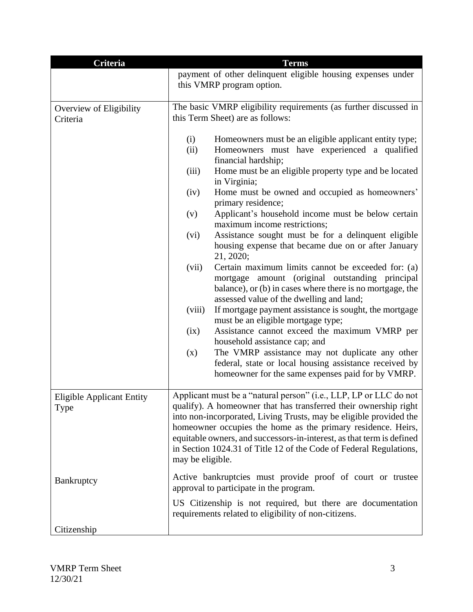| <b>Criteria</b>                                 | <b>Terms</b>                                                                                                                                                                                                                                                                                                                                                                                                               |  |
|-------------------------------------------------|----------------------------------------------------------------------------------------------------------------------------------------------------------------------------------------------------------------------------------------------------------------------------------------------------------------------------------------------------------------------------------------------------------------------------|--|
|                                                 | payment of other delinquent eligible housing expenses under                                                                                                                                                                                                                                                                                                                                                                |  |
|                                                 | this VMRP program option.                                                                                                                                                                                                                                                                                                                                                                                                  |  |
|                                                 |                                                                                                                                                                                                                                                                                                                                                                                                                            |  |
| Overview of Eligibility                         | The basic VMRP eligibility requirements (as further discussed in<br>this Term Sheet) are as follows:                                                                                                                                                                                                                                                                                                                       |  |
| Criteria                                        |                                                                                                                                                                                                                                                                                                                                                                                                                            |  |
|                                                 | (i)<br>Homeowners must be an eligible applicant entity type;                                                                                                                                                                                                                                                                                                                                                               |  |
|                                                 | Homeowners must have experienced a qualified<br>(ii)<br>financial hardship;                                                                                                                                                                                                                                                                                                                                                |  |
|                                                 | Home must be an eligible property type and be located<br>(iii)<br>in Virginia;                                                                                                                                                                                                                                                                                                                                             |  |
|                                                 | Home must be owned and occupied as homeowners'<br>(iv)<br>primary residence;                                                                                                                                                                                                                                                                                                                                               |  |
|                                                 | Applicant's household income must be below certain<br>(v)<br>maximum income restrictions;                                                                                                                                                                                                                                                                                                                                  |  |
|                                                 | Assistance sought must be for a delinquent eligible<br>(vi)<br>housing expense that became due on or after January                                                                                                                                                                                                                                                                                                         |  |
|                                                 | 21, 2020;<br>(vii)<br>Certain maximum limits cannot be exceeded for: (a)<br>mortgage amount (original outstanding principal                                                                                                                                                                                                                                                                                                |  |
|                                                 | balance), or (b) in cases where there is no mortgage, the<br>assessed value of the dwelling and land;                                                                                                                                                                                                                                                                                                                      |  |
|                                                 | If mortgage payment assistance is sought, the mortgage<br>(viii)<br>must be an eligible mortgage type;                                                                                                                                                                                                                                                                                                                     |  |
|                                                 | Assistance cannot exceed the maximum VMRP per<br>(ix)<br>household assistance cap; and                                                                                                                                                                                                                                                                                                                                     |  |
|                                                 | The VMRP assistance may not duplicate any other<br>(x)                                                                                                                                                                                                                                                                                                                                                                     |  |
|                                                 | federal, state or local housing assistance received by<br>homeowner for the same expenses paid for by VMRP.                                                                                                                                                                                                                                                                                                                |  |
| <b>Eligible Applicant Entity</b><br><b>Type</b> | Applicant must be a "natural person" (i.e., LLP, LP or LLC do not<br>qualify). A homeowner that has transferred their ownership right<br>into non-incorporated, Living Trusts, may be eligible provided the<br>homeowner occupies the home as the primary residence. Heirs,<br>equitable owners, and successors-in-interest, as that term is defined<br>in Section 1024.31 of Title 12 of the Code of Federal Regulations, |  |
|                                                 | may be eligible.                                                                                                                                                                                                                                                                                                                                                                                                           |  |
| Bankruptcy                                      | Active bankruptcies must provide proof of court or trustee<br>approval to participate in the program.                                                                                                                                                                                                                                                                                                                      |  |
|                                                 | US Citizenship is not required, but there are documentation<br>requirements related to eligibility of non-citizens.                                                                                                                                                                                                                                                                                                        |  |
| Citizenship                                     |                                                                                                                                                                                                                                                                                                                                                                                                                            |  |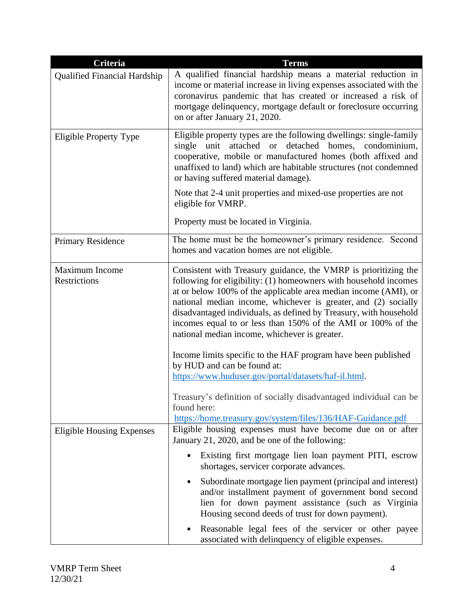| Criteria                                     | <b>Terms</b>                                                                                                                                                                                                                                                                                                                                                                                                                                                   |
|----------------------------------------------|----------------------------------------------------------------------------------------------------------------------------------------------------------------------------------------------------------------------------------------------------------------------------------------------------------------------------------------------------------------------------------------------------------------------------------------------------------------|
| <b>Qualified Financial Hardship</b>          | A qualified financial hardship means a material reduction in<br>income or material increase in living expenses associated with the<br>coronavirus pandemic that has created or increased a risk of<br>mortgage delinquency, mortgage default or foreclosure occurring<br>on or after January 21, 2020.                                                                                                                                                         |
| <b>Eligible Property Type</b>                | Eligible property types are the following dwellings: single-family<br>attached or detached homes, condominium,<br>single<br>unit<br>cooperative, mobile or manufactured homes (both affixed and<br>unaffixed to land) which are habitable structures (not condemned<br>or having suffered material damage).                                                                                                                                                    |
|                                              | Note that 2-4 unit properties and mixed-use properties are not<br>eligible for VMRP.                                                                                                                                                                                                                                                                                                                                                                           |
|                                              | Property must be located in Virginia.                                                                                                                                                                                                                                                                                                                                                                                                                          |
| <b>Primary Residence</b>                     | The home must be the homeowner's primary residence. Second<br>homes and vacation homes are not eligible.                                                                                                                                                                                                                                                                                                                                                       |
| <b>Maximum Income</b><br><b>Restrictions</b> | Consistent with Treasury guidance, the VMRP is prioritizing the<br>following for eligibility: (1) homeowners with household incomes<br>at or below 100% of the applicable area median income (AMI), or<br>national median income, whichever is greater, and (2) socially<br>disadvantaged individuals, as defined by Treasury, with household<br>incomes equal to or less than 150% of the AMI or 100% of the<br>national median income, whichever is greater. |
|                                              | Income limits specific to the HAF program have been published<br>by HUD and can be found at:<br>https://www.huduser.gov/portal/datasets/haf-il.html.                                                                                                                                                                                                                                                                                                           |
|                                              | Treasury's definition of socially disadvantaged individual can be<br>found here:<br>https://home.treasury.gov/system/files/136/HAF-Guidance.pdf                                                                                                                                                                                                                                                                                                                |
| <b>Eligible Housing Expenses</b>             | Eligible housing expenses must have become due on or after<br>January 21, 2020, and be one of the following:                                                                                                                                                                                                                                                                                                                                                   |
|                                              | Existing first mortgage lien loan payment PITI, escrow<br>shortages, servicer corporate advances.                                                                                                                                                                                                                                                                                                                                                              |
|                                              | Subordinate mortgage lien payment (principal and interest)<br>and/or installment payment of government bond second<br>lien for down payment assistance (such as Virginia<br>Housing second deeds of trust for down payment).                                                                                                                                                                                                                                   |
|                                              | Reasonable legal fees of the servicer or other payee<br>associated with delinquency of eligible expenses.                                                                                                                                                                                                                                                                                                                                                      |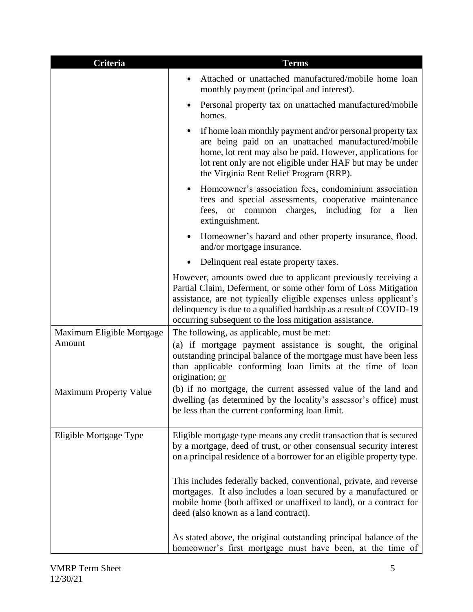| Criteria                      | <b>Terms</b>                                                                                                                                                                                                                                                                                                                            |
|-------------------------------|-----------------------------------------------------------------------------------------------------------------------------------------------------------------------------------------------------------------------------------------------------------------------------------------------------------------------------------------|
|                               | Attached or unattached manufactured/mobile home loan<br>monthly payment (principal and interest).                                                                                                                                                                                                                                       |
|                               | Personal property tax on unattached manufactured/mobile<br>homes.                                                                                                                                                                                                                                                                       |
|                               | If home loan monthly payment and/or personal property tax<br>are being paid on an unattached manufactured/mobile<br>home, lot rent may also be paid. However, applications for<br>lot rent only are not eligible under HAF but may be under<br>the Virginia Rent Relief Program (RRP).                                                  |
|                               | Homeowner's association fees, condominium association<br>fees and special assessments, cooperative maintenance<br>fees, or common charges, including<br>for<br>a<br>lien<br>extinguishment.                                                                                                                                             |
|                               | Homeowner's hazard and other property insurance, flood,<br>and/or mortgage insurance.                                                                                                                                                                                                                                                   |
|                               | Delinquent real estate property taxes.                                                                                                                                                                                                                                                                                                  |
|                               | However, amounts owed due to applicant previously receiving a<br>Partial Claim, Deferment, or some other form of Loss Mitigation<br>assistance, are not typically eligible expenses unless applicant's<br>delinquency is due to a qualified hardship as a result of COVID-19<br>occurring subsequent to the loss mitigation assistance. |
| Maximum Eligible Mortgage     | The following, as applicable, must be met:                                                                                                                                                                                                                                                                                              |
| Amount                        | (a) if mortgage payment assistance is sought, the original<br>outstanding principal balance of the mortgage must have been less<br>than applicable conforming loan limits at the time of loan<br>origination; or                                                                                                                        |
| <b>Maximum Property Value</b> | (b) if no mortgage, the current assessed value of the land and<br>dwelling (as determined by the locality's assessor's office) must<br>be less than the current conforming loan limit.                                                                                                                                                  |
| Eligible Mortgage Type        | Eligible mortgage type means any credit transaction that is secured<br>by a mortgage, deed of trust, or other consensual security interest<br>on a principal residence of a borrower for an eligible property type.                                                                                                                     |
|                               | This includes federally backed, conventional, private, and reverse<br>mortgages. It also includes a loan secured by a manufactured or<br>mobile home (both affixed or unaffixed to land), or a contract for<br>deed (also known as a land contract).                                                                                    |
|                               | As stated above, the original outstanding principal balance of the<br>homeowner's first mortgage must have been, at the time of                                                                                                                                                                                                         |